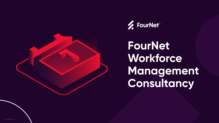Copyright 2022®



## **FourNet Workforce Management Consultancy**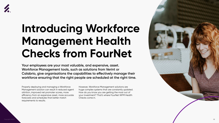



# **Introducing Workforce Management Health Checks from FourNet**

**Your employees are your most valuable, and expensive, asset. Workforce Management tools, such as solutions from Verint or Calabrio, give organisations the capabilities to effectively manage their workforce ensuring that the right people are scheduled at the right time.**

Properly deploying and managing a Workforce Management solution can result in reduced agent attrition, improved net promoter scores, more efficiency from an expensive asset, more accurate forecasts and schedules that better match requirements to results.

However, Workforce Management solutions are huge complex systems that are constantly updated. How do you know you are getting the most out of your investment? That's where FourNet WFM Health Checks come in.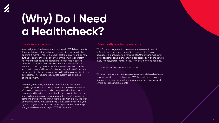



# **(Why) Do I Need a Healthcheck?**

#### **Knowledge Erosion**

Knowledge erosion is a common problem in WFM deployments. The client deploys the software to huge initial success in the opening 6 months. Year 2 is steady; staff are enjoying their new cutting-edge technology but by year three turnover of staff has meant that gaps are appearing in expertise in several areas of the organisation. New staff are trained second or even third hand by previous staff members, with each move leading to greater dilution of software user skills. Staff become frustrated with the technology and faith in the product begins to deteriorate. This leads to inaccurate system use and lack of engagement.

Perhaps you're lucky enough to have avoided too much knowledge erosion so far but prevention is the best cure and it's useful to keep on top and up to speed with the current thinking and trends in the industry. To get an objective eye on your daily processes and any new problems you're facing with someone outside the team who is familiar with exactly the types of challenges you're experiencing. Our expertise can help you tighten up your operation and make improvements that help you get the best return on your WFM investment.

### **Constantly evolving systems**

Workforce Management systems comprise a great deal of different parts, services, connections, pieces of software, upgrades, old unsupported versions, etc. Understanding how it all fits together can be challenging, especially as it changes with every release, patch, hotfix, rollup. How could anyone keep up?

This is what our health check is all about!

Whilst no two contact centres are the same and there is often no singular solution to a problem, our WFM consultants can quickly diagnose the specific problems in your operation and suggest simple bespoke improvements.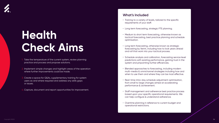### **Health Check Aims**

- Take the temperature of the current system, review planning practice and process and propose solutions.
- 2. Implement simple changes and highlight areas of the operation where further improvements could be made.
- Create a space for Q&As, supplementary training for system users as and where required and address any skills gaps or issues.
- 4. Capture, document and report opportunities for improvement.

#### **What's Included**

- Training to a variety of levels, tailored to the specific requirements of your staff.
- Long term forecasting, strategic FTE planning.
- Medium to short term forecasting, otherwise known as tactical forecasting, best practice planning and schedule optimisation.
- Long term forecasting, otherwise known as strategic forecasting by Verint, including how to look years ahead and roll that work into your tactical process.
- Schedule analysis and calibration, forecasting service level predictions with existing performance, gaining trust in the system and pinpointing further efficiencies.
- Blended approaches to forecasting, including modern multi-media & omnichannel strategies including how and when to use them and where they can be most effective.
- Real-time intra-day schedule adjustment optimisation, from small to large changes aimed at accelerating performance & achievement.
- Staff management and adherence best practice process based upon your specific operational requirements. We can help configure & understand adherence.
- Overtime planning in reference to current budget and operational restrictions.

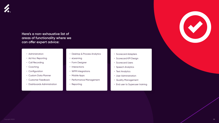

### **Here's a non-exhaustive list of areas of functionality where we can offer expert advice:**

- Administration
- Ad Hoc Reporting
- Call Recording
- Coaching
- Configuration
- Custom Data Planner
- Customer Feedback
- Dashboards Administration
- Scorecard Adapters
- Scorecard KPI Design
- Scorecard Users
- Speech Analytics
- Text Analytics
- User Administration
- Quality Management
- End user to Superuser training



- Desktop & Process Analytics
- eLearning
- Form Designer
- Interactions
- WFM Integrations
- Mobile Apps
- Performance Management
- Reporting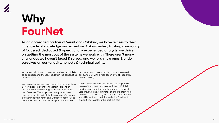



### **Why FourNet**

**As an accredited partner of Verint and Calabrio, we have access to their inner circle of knowledge and expertise. A like-minded, trusting community of focussed, dedicated & operationally experienced analysts, we thrive on getting the most out of the systems we work with. There aren't many challenges we haven't faced & solved, and we relish new ones & pride ourselves on our tenacity, honesty & technical ability.** 

We employ dedicated consultants whose sole job is to be experts and thought leaders in the capabilities of these systems.

We carefully maintain an updated library of material & knowledge, relevant to the latest versions of our core Workforce Management partners, Verint and Calabrio. This is updated every time a new release or functionality hits the platform. Our formal partnerships with Verint and Calabrio enables us to get this access via their partner portal, where we

get early access to everything needed to provide our customers with a high touch level of support & understanding.

What's more, not only are we able to support all areas of the latest version of Verint and Calabrio products, we maintain our library archive of past versions. If you have an install of either system from any time in the last 10 years, there's a high chance we still have the material, knowledge & skillset to support you in getting the best out of it.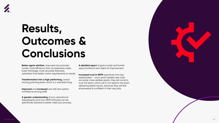Copyright 2022® 07



**Better agent attrition**, improved net promoter scores, more efficiency from an expensive asset, lower shrinkage, more accurate forecasts, schedules that better match requirements to results.

**Transformation into a high performing**, award winning planning team which is a valuable thing.

**Improved** and **increased** user skill and system confidence among staff.

**Increased trust in WFM** operatives from key stakeholders – once senior leaders see more accurate, more reliable results, they will come to trust the team, which will in turn lead to the team delivering better results, because they will feel empowered & confident in their day jobs.

**A greater understanding** of your operational requirements and how WFM software can be specifically tailored to better meet your process.

**A detailed report** of gains made and further opportunities & next steps for improvement.



## **Results, Outcomes & Conclusions**